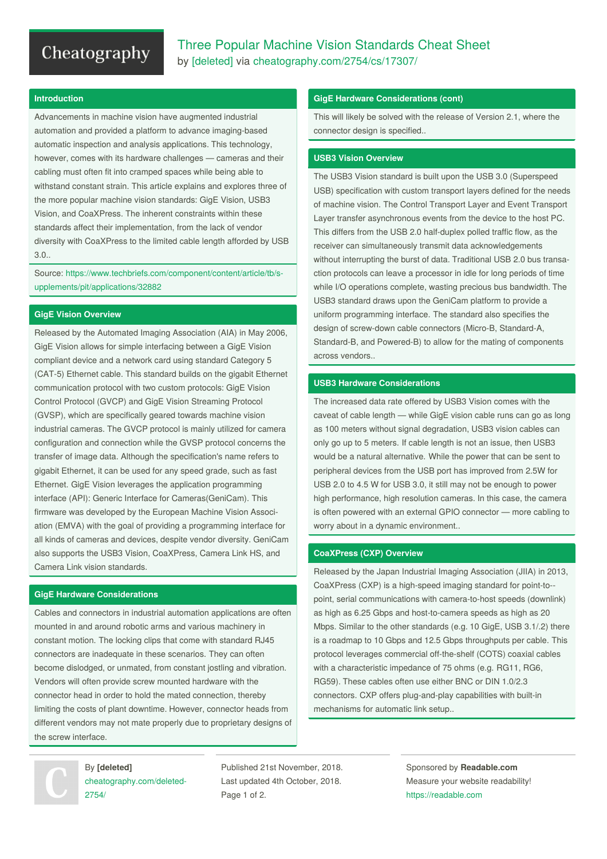# Cheatography

## **Introduction**

Advancements in machine vision have augmented industrial automation and provided a platform to advance imaging-based automatic inspection and analysis applications. This technology, however, comes with its hardware challenges — cameras and their cabling must often fit into cramped spaces while being able to withstand constant strain. This article explains and explores three of the more popular machine vision standards: GigE Vision, USB3 Vision, and CoaXPress. The inherent constraints within these standards affect their implementation, from the lack of vendor diversity with CoaXPress to the limited cable length afforded by USB 3.0..

Source: [https://www.techbriefs.com/component/content/article/tb/s‐](https://www.techbriefs.com/component/content/article/tb/supplements/pit/applications/32882) upplements/pit/applications/32882

### **GigE Vision Overview**

Released by the Automated Imaging Association (AIA) in May 2006, GigE Vision allows for simple interfacing between a GigE Vision compliant device and a network card using standard Category 5 (CAT-5) Ethernet cable. This standard builds on the gigabit Ethernet communication protocol with two custom protocols: GigE Vision Control Protocol (GVCP) and GigE Vision Streaming Protocol (GVSP), which are specifically geared towards machine vision industrial cameras. The GVCP protocol is mainly utilized for camera configuration and connection while the GVSP protocol concerns the transfer of image data. Although the specification's name refers to gigabit Ethernet, it can be used for any speed grade, such as fast Ethernet. GigE Vision leverages the application programming interface (API): Generic Interface for Cameras(GeniCam). This firmware was developed by the European Machine Vision Association (EMVA) with the goal of providing a programming interface for all kinds of cameras and devices, despite vendor diversity. GeniCam also supports the USB3 Vision, CoaXPress, Camera Link HS, and Camera Link vision standards.

## **GigE Hardware Considerations**

Cables and connectors in industrial automation applications are often mounted in and around robotic arms and various machinery in constant motion. The locking clips that come with standard RJ45 connectors are inadequate in these scenarios. They can often become dislodged, or unmated, from constant jostling and vibration. Vendors will often provide screw mounted hardware with the connector head in order to hold the mated connection, thereby limiting the costs of plant downtime. However, connector heads from different vendors may not mate properly due to proprietary designs of the screw interface.



By **[deleted]** [cheatography.com/deleted-](http://www.cheatography.com/deleted-2754/)2754/

Published 21st November, 2018. Last updated 4th October, 2018. Page 1 of 2.

Sponsored by **Readable.com** Measure your website readability!

<https://readable.com>

## **GigE Hardware Considerations (cont)**

This will likely be solved with the release of Version 2.1, where the connector design is specified..

#### **USB3 Vision Overview**

The USB3 Vision standard is built upon the USB 3.0 (Superspeed USB) specification with custom transport layers defined for the needs of machine vision. The Control Transport Layer and Event Transport Layer transfer asynchronous events from the device to the host PC. This differs from the USB 2.0 half-duplex polled traffic flow, as the receiver can simultaneously transmit data acknowledgements without interrupting the burst of data. Traditional USB 2.0 bus transa‐ ction protocols can leave a processor in idle for long periods of time while I/O operations complete, wasting precious bus bandwidth. The USB3 standard draws upon the GeniCam platform to provide a uniform programming interface. The standard also specifies the design of screw-down cable connectors (Micro-B, Standard-A, Standard-B, and Powered-B) to allow for the mating of components across vendors..

#### **USB3 Hardware Considerations**

The increased data rate offered by USB3 Vision comes with the caveat of cable length — while GigE vision cable runs can go as long as 100 meters without signal degradation, USB3 vision cables can only go up to 5 meters. If cable length is not an issue, then USB3 would be a natural alternative. While the power that can be sent to peripheral devices from the USB port has improved from 2.5W for USB 2.0 to 4.5 W for USB 3.0, it still may not be enough to power high performance, high resolution cameras. In this case, the camera is often powered with an external GPIO connector — more cabling to worry about in a dynamic environment..

## **CoaXPress (CXP) Overview**

Released by the Japan Industrial Imaging Association (JIIA) in 2013, CoaXPress (CXP) is a high-speed imaging standard for point-to-‐ point, serial communications with camera-to-host speeds (downlink) as high as 6.25 Gbps and host-to-camera speeds as high as 20 Mbps. Similar to the other standards (e.g. 10 GigE, USB 3.1/.2) there is a roadmap to 10 Gbps and 12.5 Gbps throughputs per cable. This protocol leverages commercial off-the-shelf (COTS) coaxial cables with a characteristic impedance of 75 ohms (e.g. RG11, RG6, RG59). These cables often use either BNC or DIN 1.0/2.3 connectors. CXP offers plug-and-play capabilities with built-in mechanisms for automatic link setup..